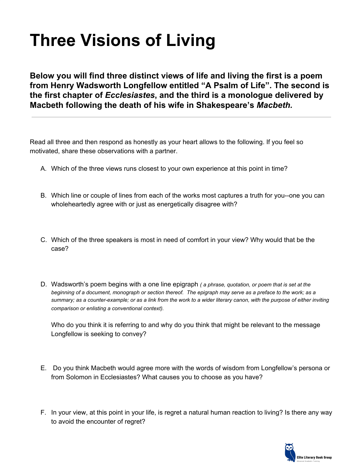# **Three Visions of Living**

**Below you will find three distinct views of life and living the first is a poem from Henry Wadsworth Longfellow entitled "A Psalm of Life". The second is the first chapter of** *Ecclesiastes***, and the third is a monologue delivered by Macbeth following the death of his wife in Shakespeare's** *Macbeth.*

Read all three and then respond as honestly as your heart allows to the following. If you feel so motivated, share these observations with a partner.

- A. Which of the three views runs closest to your own experience at this point in time?
- B. Which line or couple of lines from each of the works most captures a truth for you--one you can wholeheartedly agree with or just as energetically disagree with?
- C. Which of the three speakers is most in need of comfort in your view? Why would that be the case?
- D. Wadsworth's poem begins with a one line epigraph *( a phrase, quotation, or poem that is set at the beginning of a document, monograph or section thereof. The epigraph may serve as a preface to the work; as a summary; as a counter-example; or as a link from the work to a wider literary canon, with the purpose of either inviting comparison or enlisting a conventional context).*

Who do you think it is referring to and why do you think that might be relevant to the message Longfellow is seeking to convey?

- E. Do you think Macbeth would agree more with the words of wisdom from Longfellow's persona or from Solomon in Ecclesiastes? What causes you to choose as you have?
- F. In your view, at this point in your life, is regret a natural human reaction to living? Is there any way to avoid the encounter of regret?

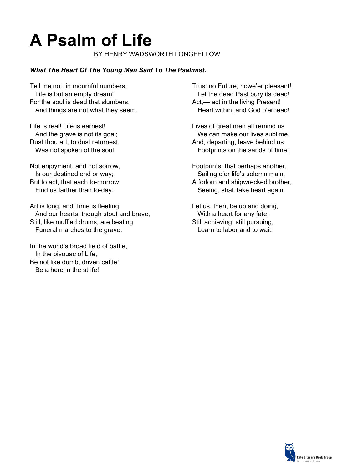## **A Psalm of Life**

BY HENRY WADSWORTH LONGFELLOW

#### *What The Heart Of The Young Man Said To The Psalmist.*

Tell me not, in mournful numbers, Life is but an empty dream! For the soul is dead that slumbers, And things are not what they seem.

Life is real! Life is earnest! And the grave is not its goal; Dust thou art, to dust returnest, Was not spoken of the soul.

Not enjoyment, and not sorrow, Is our destined end or way; But to act, that each to-morrow Find us farther than to-day.

Art is long, and Time is fleeting, And our hearts, though stout and brave, Still, like muffled drums, are beating Funeral marches to the grave.

In the world's broad field of battle, In the bivouac of Life, Be not like dumb, driven cattle! Be a hero in the strife!

Trust no Future, howe'er pleasant! Let the dead Past bury its dead! Act,— act in the living Present! Heart within, and God o'erhead!

Lives of great men all remind us We can make our lives sublime, And, departing, leave behind us Footprints on the sands of time;

Footprints, that perhaps another, Sailing o'er life's solemn main, A forlorn and shipwrecked brother, Seeing, shall take heart again.

Let us, then, be up and doing, With a heart for any fate; Still achieving, still pursuing, Learn to labor and to wait.

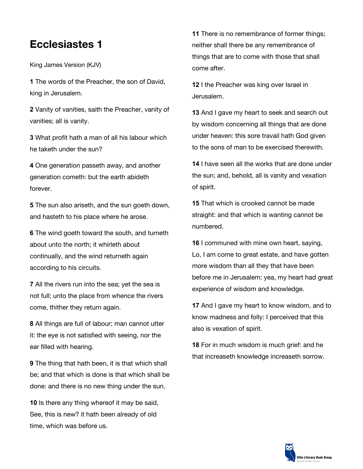### **Ecclesiastes 1**

King James Version (KJV)

**1** The words of the Preacher, the son of David, king in Jerusalem.

**2** Vanity of vanities, saith the Preacher, vanity of vanities; all is vanity.

**3** What profit hath a man of all his labour which he taketh under the sun?

**4** One generation passeth away, and another generation cometh: but the earth abideth forever.

**5** The sun also ariseth, and the sun goeth down, and hasteth to his place where he arose.

**6** The wind goeth toward the south, and turneth about unto the north; it whirleth about continually, and the wind returneth again according to his circuits.

**7** All the rivers run into the sea; yet the sea is not full; unto the place from whence the rivers come, thither they return again.

**8** All things are full of labour; man cannot utter it: the eye is not satisfied with seeing, nor the ear filled with hearing.

**9** The thing that hath been, it is that which shall be; and that which is done is that which shall be done: and there is no new thing under the sun.

**10** Is there any thing whereof it may be said, See, this is new? it hath been already of old time, which was before us.

**11** There is no remembrance of former things; neither shall there be any remembrance of things that are to come with those that shall come after.

**12** I the Preacher was king over Israel in Jerusalem.

**13** And I gave my heart to seek and search out by wisdom concerning all things that are done under heaven: this sore travail hath God given to the sons of man to be exercised therewith.

**14** I have seen all the works that are done under the sun; and, behold, all is vanity and vexation of spirit.

**15** That which is crooked cannot be made straight: and that which is wanting cannot be numbered.

**16** I communed with mine own heart, saying, Lo, I am come to great estate, and have gotten more wisdom than all they that have been before me in Jerusalem: yea, my heart had great experience of wisdom and knowledge.

**17** And I gave my heart to know wisdom, and to know madness and folly: I perceived that this also is vexation of spirit.

**18** For in much wisdom is much grief: and he that increaseth knowledge increaseth sorrow.